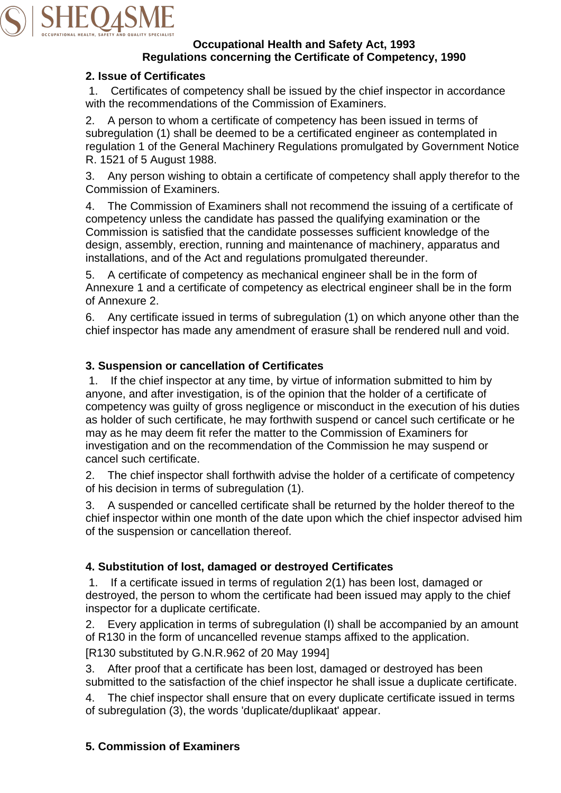

#### **Occupational Health and Safety Act, 1993 Regulations concerning the Certificate of Competency, 1990**

#### **2. Issue of Certificates**

1. Certificates of competency shall be issued by the chief inspector in accordance with the recommendations of the Commission of Examiners.

2. A person to whom a certificate of competency has been issued in terms of subregulation (1) shall be deemed to be a certificated engineer as contemplated in regulation 1 of the General Machinery Regulations promulgated by Government Notice R. 1521 of 5 August 1988.

3. Any person wishing to obtain a certificate of competency shall apply therefor to the Commission of Examiners.

4. The Commission of Examiners shall not recommend the issuing of a certificate of competency unless the candidate has passed the qualifying examination or the Commission is satisfied that the candidate possesses sufficient knowledge of the design, assembly, erection, running and maintenance of machinery, apparatus and installations, and of the Act and regulations promulgated thereunder.

5. A certificate of competency as mechanical engineer shall be in the form of Annexure 1 and a certificate of competency as electrical engineer shall be in the form of Annexure 2.

6. Any certificate issued in terms of subregulation (1) on which anyone other than the chief inspector has made any amendment of erasure shall be rendered null and void.

## **3. Suspension or cancellation of Certificates**

1. If the chief inspector at any time, by virtue of information submitted to him by anyone, and after investigation, is of the opinion that the holder of a certificate of competency was guilty of gross negligence or misconduct in the execution of his duties as holder of such certificate, he may forthwith suspend or cancel such certificate or he may as he may deem fit refer the matter to the Commission of Examiners for investigation and on the recommendation of the Commission he may suspend or cancel such certificate.

2. The chief inspector shall forthwith advise the holder of a certificate of competency of his decision in terms of subregulation (1).

3. A suspended or cancelled certificate shall be returned by the holder thereof to the chief inspector within one month of the date upon which the chief inspector advised him of the suspension or cancellation thereof.

## **4. Substitution of lost, damaged or destroyed Certificates**

1. If a certificate issued in terms of regulation 2(1) has been lost, damaged or destroyed, the person to whom the certificate had been issued may apply to the chief inspector for a duplicate certificate.

2. Every application in terms of subregulation (I) shall be accompanied by an amount of R130 in the form of uncancelled revenue stamps affixed to the application.

[R130 substituted by G.N.R.962 of 20 May 1994]

3. After proof that a certificate has been lost, damaged or destroyed has been submitted to the satisfaction of the chief inspector he shall issue a duplicate certificate.

4. The chief inspector shall ensure that on every duplicate certificate issued in terms of subregulation (3), the words 'duplicate/duplikaat' appear.

## **5. Commission of Examiners**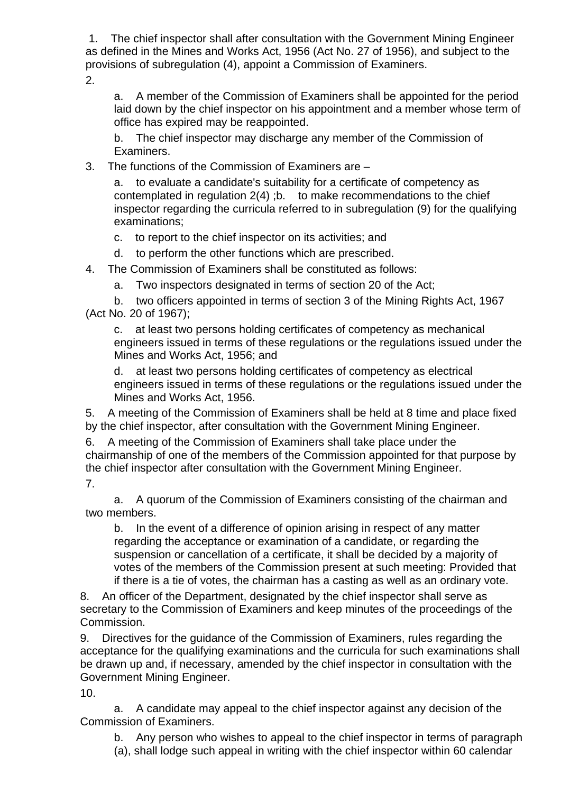1. The chief inspector shall after consultation with the Government Mining Engineer as defined in the Mines and Works Act, 1956 (Act No. 27 of 1956), and subject to the provisions of subregulation (4), appoint a Commission of Examiners.

 $\mathcal{P}$ 

a. A member of the Commission of Examiners shall be appointed for the period laid down by the chief inspector on his appointment and a member whose term of office has expired may be reappointed.

b. The chief inspector may discharge any member of the Commission of Examiners.

3. The functions of the Commission of Examiners are –

a. to evaluate a candidate's suitability for a certificate of competency as contemplated in regulation 2(4) ;b. to make recommendations to the chief inspector regarding the curricula referred to in subregulation (9) for the qualifying examinations;

c. to report to the chief inspector on its activities; and

d. to perform the other functions which are prescribed.

4. The Commission of Examiners shall be constituted as follows:

a. Two inspectors designated in terms of section 20 of the Act;

b. two officers appointed in terms of section 3 of the Mining Rights Act, 1967 (Act No. 20 of 1967);

c. at least two persons holding certificates of competency as mechanical engineers issued in terms of these regulations or the regulations issued under the Mines and Works Act, 1956; and

d. at least two persons holding certificates of competency as electrical engineers issued in terms of these regulations or the regulations issued under the Mines and Works Act, 1956.

5. A meeting of the Commission of Examiners shall be held at 8 time and place fixed by the chief inspector, after consultation with the Government Mining Engineer.

6. A meeting of the Commission of Examiners shall take place under the chairmanship of one of the members of the Commission appointed for that purpose by the chief inspector after consultation with the Government Mining Engineer.

7.

a. A quorum of the Commission of Examiners consisting of the chairman and two members.

b. In the event of a difference of opinion arising in respect of any matter regarding the acceptance or examination of a candidate, or regarding the suspension or cancellation of a certificate, it shall be decided by a majority of votes of the members of the Commission present at such meeting: Provided that if there is a tie of votes, the chairman has a casting as well as an ordinary vote.

8. An officer of the Department, designated by the chief inspector shall serve as secretary to the Commission of Examiners and keep minutes of the proceedings of the Commission.

9. Directives for the guidance of the Commission of Examiners, rules regarding the acceptance for the qualifying examinations and the curricula for such examinations shall be drawn up and, if necessary, amended by the chief inspector in consultation with the Government Mining Engineer.

10.

a. A candidate may appeal to the chief inspector against any decision of the Commission of Examiners.

b. Any person who wishes to appeal to the chief inspector in terms of paragraph

(a), shall lodge such appeal in writing with the chief inspector within 60 calendar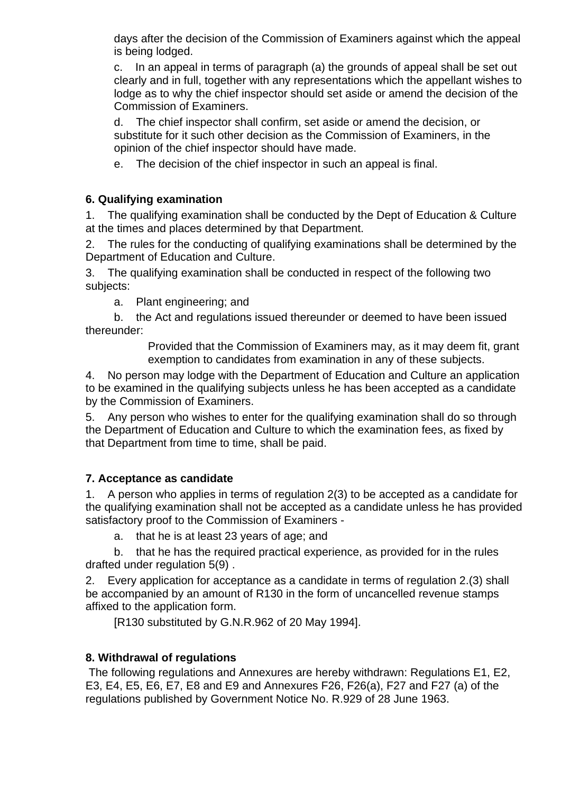days after the decision of the Commission of Examiners against which the appeal is being lodged.

c. In an appeal in terms of paragraph (a) the grounds of appeal shall be set out clearly and in full, together with any representations which the appellant wishes to lodge as to why the chief inspector should set aside or amend the decision of the Commission of Examiners.

d. The chief inspector shall confirm, set aside or amend the decision, or substitute for it such other decision as the Commission of Examiners, in the opinion of the chief inspector should have made.

e. The decision of the chief inspector in such an appeal is final.

# **6. Qualifying examination**

1. The qualifying examination shall be conducted by the Dept of Education & Culture at the times and places determined by that Department.

2. The rules for the conducting of qualifying examinations shall be determined by the Department of Education and Culture.

3. The qualifying examination shall be conducted in respect of the following two subjects:

a. Plant engineering; and

b. the Act and regulations issued thereunder or deemed to have been issued thereunder:

> Provided that the Commission of Examiners may, as it may deem fit, grant exemption to candidates from examination in any of these subjects.

4. No person may lodge with the Department of Education and Culture an application to be examined in the qualifying subjects unless he has been accepted as a candidate by the Commission of Examiners.

5. Any person who wishes to enter for the qualifying examination shall do so through the Department of Education and Culture to which the examination fees, as fixed by that Department from time to time, shall be paid.

## **7. Acceptance as candidate**

1. A person who applies in terms of regulation 2(3) to be accepted as a candidate for the qualifying examination shall not be accepted as a candidate unless he has provided satisfactory proof to the Commission of Examiners -

a. that he is at least 23 years of age; and

b. that he has the required practical experience, as provided for in the rules drafted under regulation 5(9) .

2. Every application for acceptance as a candidate in terms of regulation 2.(3) shall be accompanied by an amount of R130 in the form of uncancelled revenue stamps affixed to the application form.

[R130 substituted by G.N.R.962 of 20 May 1994].

## **8. Withdrawal of regulations**

 The following regulations and Annexures are hereby withdrawn: Regulations E1, E2, E3, E4, E5, E6, E7, E8 and E9 and Annexures F26, F26(a), F27 and F27 (a) of the regulations published by Government Notice No. R.929 of 28 June 1963.